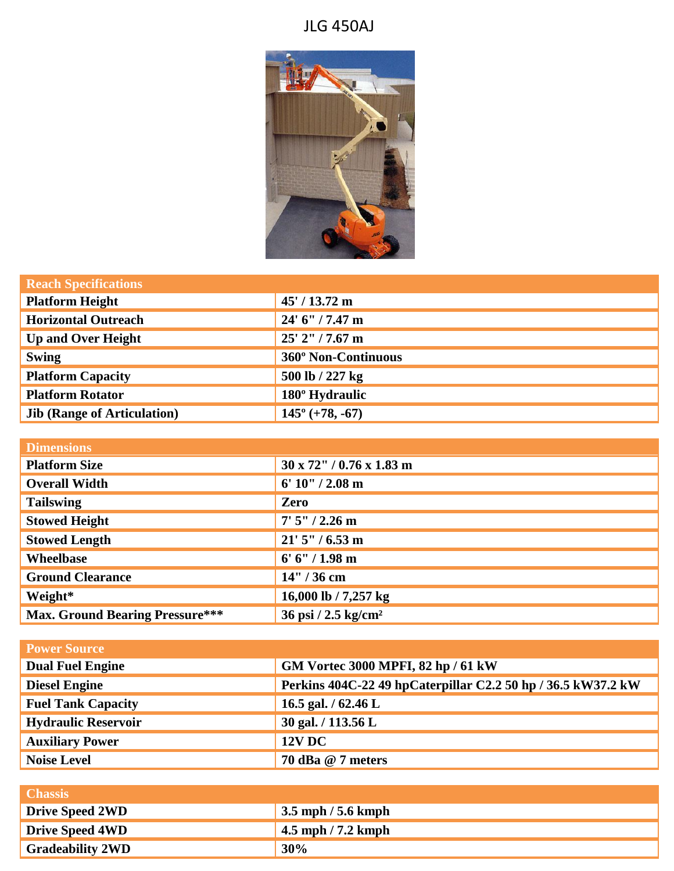## JLG 450AJ



| <b>Reach Specifications</b>        |                          |
|------------------------------------|--------------------------|
| <b>Platform Height</b>             | $45' / 13.72$ m          |
| <b>Horizontal Outreach</b>         | 24' 6" / 7.47 m          |
| <b>Up and Over Height</b>          | $25'$ 2" / 7.67 m        |
| <b>Swing</b>                       | 360° Non-Continuous      |
| <b>Platform Capacity</b>           | 500 lb / 227 kg          |
| <b>Platform Rotator</b>            | 180° Hydraulic           |
| <b>Jib (Range of Articulation)</b> | $145^{\circ}$ (+78, -67) |

| <b>Dimensions</b>                      |                                  |
|----------------------------------------|----------------------------------|
| <b>Platform Size</b>                   | $30 \times 72$ " / 0.76 x 1.83 m |
| <b>Overall Width</b>                   | $6' 10'' / 2.08$ m               |
| <b>Tailswing</b>                       | Zero                             |
| <b>Stowed Height</b>                   | $7'5''/2.26$ m                   |
| <b>Stowed Length</b>                   | $21'5''/6.53$ m                  |
| Wheelbase                              | $6' 6'' / 1.98$ m                |
| <b>Ground Clearance</b>                | 14" / 36 cm                      |
| Weight*                                | 16,000 lb / 7,257 kg             |
| <b>Max. Ground Bearing Pressure***</b> | 36 psi / 2.5 kg/cm <sup>2</sup>  |

| <b>Power Source</b>        |                                                              |
|----------------------------|--------------------------------------------------------------|
| <b>Dual Fuel Engine</b>    | GM Vortec 3000 MPFI, 82 hp / 61 kW                           |
| <b>Diesel Engine</b>       | Perkins 404C-22 49 hpCaterpillar C2.2 50 hp / 36.5 kW37.2 kW |
| <b>Fuel Tank Capacity</b>  | 16.5 gal. $/$ 62.46 L                                        |
| <b>Hydraulic Reservoir</b> | 30 gal. / 113.56 L                                           |
| <b>Auxiliary Power</b>     | <b>12V DC</b>                                                |
| <b>Noise Level</b>         | 70 dBa @ 7 meters                                            |

| <b>Chassis</b>          |                                            |
|-------------------------|--------------------------------------------|
| <b>Drive Speed 2WD</b>  | $\frac{3.5 \text{ mph}}{5.6 \text{ kmph}}$ |
| <b>Drive Speed 4WD</b>  | $\frac{1}{2}$ 4.5 mph / 7.2 kmph           |
| <b>Gradeability 2WD</b> | 30%                                        |